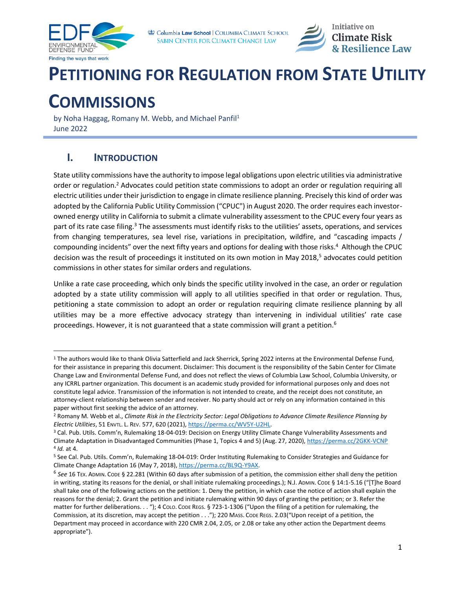



# **PETITIONING FOR REGULATION FROM STATE UTILITY**

# **COMMISSIONS**

by Noha Haggag, Romany M. Webb, and Michael Panfil<sup>1</sup> June 2022

### <span id="page-0-0"></span>**I. INTRODUCTION**

State utility commissions have the authority to impose legal obligations upon electric utilities via administrative order or regulation.<sup>2</sup> Advocates could petition state commissions to adopt an order or regulation requiring all electric utilities under their jurisdiction to engage in climate resilience planning. Precisely this kind of order was adopted by the California Public Utility Commission ("CPUC") in August 2020. The order requires each investorowned energy utility in California to submit a climate vulnerability assessment to the CPUC every four years as part of its rate case filing.<sup>3</sup> The assessments must identify risks to the utilities' assets, operations, and services from changing temperatures, sea level rise, variations in precipitation, wildfire, and "cascading impacts / compounding incidents" over the next fifty years and options for dealing with those risks.<sup>4</sup> Although the CPUC decision was the result of proceedings it instituted on its own motion in May 2018,<sup>5</sup> advocates could petition commissions in other states for similar orders and regulations.

Unlike a rate case proceeding, which only binds the specific utility involved in the case, an order or regulation adopted by a state utility commission will apply to all utilities specified in that order or regulation. Thus, petitioning a state commission to adopt an order or regulation requiring climate resilience planning by all utilities may be a more effective advocacy strategy than intervening in individual utilities' rate case proceedings. However, it is not guaranteed that a state commission will grant a petition.<sup>6</sup>

<sup>1</sup> The authors would like to thank Olivia Satterfield and Jack Sherrick, Spring 2022 interns at the Environmental Defense Fund, for their assistance in preparing this document. Disclaimer: This document is the responsibility of the Sabin Center for Climate Change Law and Environmental Defense Fund, and does not reflect the views of Columbia Law School, Columbia University, or any ICRRL partner organization. This document is an academic study provided for informational purposes only and does not constitute legal advice. Transmission of the information is not intended to create, and the receipt does not constitute, an attorney-client relationship between sender and receiver. No party should act or rely on any information contained in this paper without first seeking the advice of an attorney.

<sup>2</sup> Romany M. Webb et al., *Climate Risk in the Electricity Sector: Legal Obligations to Advance Climate Resilience Planning by Electric Utilities*, 51 ENVTL. L. REV. 577, 620 (2021)[, https://perma.cc/WV5Y-U2HL.](https://perma.cc/WV5Y-U2HL)

<sup>&</sup>lt;sup>3</sup> Cal. Pub. Utils. Comm'n, Rulemaking 18-04-019: Decision on Energy Utility Climate Change Vulnerability Assessments and Climate Adaptation in Disadvantaged Communities (Phase 1, Topics 4 and 5) (Aug. 27, 2020)[, https://perma.cc/2GKK-VCNP](https://perma.cc/2GKK-VCNP) 4 *Id.* at 4.

<sup>5</sup> See Cal. Pub. Utils. Comm'n, Rulemaking 18-04-019: Order Instituting Rulemaking to Consider Strategies and Guidance for Climate Change Adaptation 16 (May 7, 2018)[, https://perma.cc/BL9Q-Y9AX.](https://perma.cc/BL9Q-Y9AX)

<sup>6</sup> *See* 16 TEX. ADMIN. CODE § 22.281 (Within 60 days after submission of a petition, the commission either shall deny the petition in writing, stating its reasons for the denial, or shall initiate rulemaking proceedings.); N.J. ADMIN. CODE § 14:1-5.16 ("[T]he Board shall take one of the following actions on the petition: 1. Deny the petition, in which case the notice of action shall explain the reasons for the denial; 2. Grant the petition and initiate rulemaking within 90 days of granting the petition; or 3. Refer the matter for further deliberations. . . "); 4 COLO. CODE REGS. § 723-1-1306 ("Upon the filing of a petition for rulemaking, the Commission, at its discretion, may accept the petition . . ."); 220 MASS. CODE REGS. 2.03("Upon receipt of a petition, the Department may proceed in accordance with 220 CMR 2.04, 2.05, or 2.08 or take any other action the Department deems appropriate").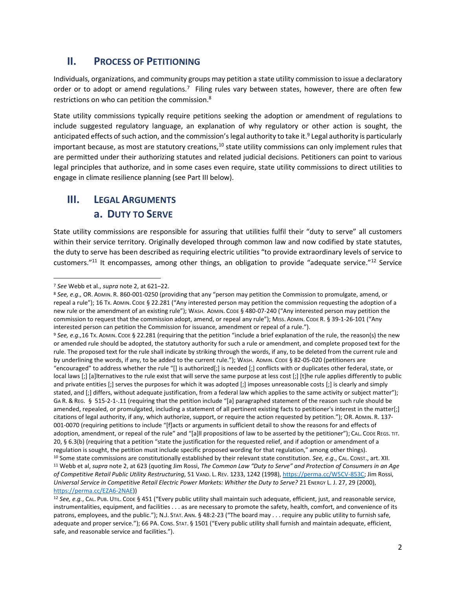#### **II.** PROCESS OF PETITIONING

Individuals, organizations, and community groups may petition a state utility commission to issue a declaratory order or to adopt or amend regulations.<sup>7</sup> Filing rules vary between states, however, there are often few restrictions on who can petition the commission.<sup>8</sup>

State utility commissions typically require petitions seeking the adoption or amendment of regulations to include suggested regulatory language, an explanation of why regulatory or other action is sought, the anticipated effects of such action, and the commission's legal authority to take it.<sup>9</sup> Legal authority is particularly important because, as most are statutory creations,<sup>10</sup> state utility commissions can only implement rules that are permitted under their authorizing statutes and related judicial decisions. Petitioners can point to various legal principles that authorize, and in some cases even require, state utility commissions to direct utilities to engage in climate resilience planning (see Part III below).

### **III. LEGAL ARGUMENTS a. DUTY TO SERVE**

State utility commissions are responsible for assuring that utilities fulfil their "duty to serve" all customers within their service territory. Originally developed through common law and now codified by state statutes, the duty to serve has been described as requiring electric utilities "to provide extraordinary levels of service to customers."<sup>11</sup> It encompasses, among other things, an obligation to provide "adequate service."<sup>12</sup> Service

[https://perma.cc/EZA6-2NAE\)](https://perma.cc/EZA6-2NAE))

<sup>7</sup> *See* Webb et al., *supra* not[e 2,](#page-0-0) at 621–22.

<sup>8</sup> *See, e.g.,* OR. ADMIN. R. 860-001-0250 (providing that any "person may petition the Commission to promulgate, amend, or repeal a rule"); 16 Tx. ADMIN. CODE § 22.281 ("Any interested person may petition the commission requesting the adoption of a new rule or the amendment of an existing rule"); WASH. ADMIN. CODE § 480-07-240 ("Any interested person may petition the commission to request that the commission adopt, amend, or repeal any rule"); MISS. ADMIN. CODE R. § 39-1-26-101 ("Any interested person can petition the Commission for issuance, amendment or repeal of a rule.").

<sup>&</sup>lt;sup>9</sup> See, e.g., 16 Tx. ADMIN. CODE § 22.281 (requiring that the petition "include a brief explanation of the rule, the reason(s) the new or amended rule should be adopted, the statutory authority for such a rule or amendment, and complete proposed text for the rule. The proposed text for the rule shall indicate by striking through the words, if any, to be deleted from the current rule and by underlining the words, if any, to be added to the current rule."); WASH. ADMIN. CODE § 82-05-020 (petitioners are "encouraged" to address whether the rule "[] is authorized[;] is needed [;] conflicts with or duplicates other federal, state, or local laws [;] [a]lternatives to the rule exist that will serve the same purpose at less cost [;] [t]he rule applies differently to public and private entities [;] serves the purposes for which it was adopted [;] imposes unreasonable costs [;] is clearly and simply stated, and [;] differs, without adequate justification, from a federal law which applies to the same activity or subject matter"); GA R. & REG. § 515-2-1-.11 (requiring that the petition include "[a] paragraphed statement of the reason such rule should be amended, repealed, or promulgated, including a statement of all pertinent existing facts to petitioner's interest in the matter[;] citations of legal authority, if any, which authorize, support, or require the action requested by petition."); OR. ADMIN. R. 137- 001-0070 (requiring petitions to include "[f]acts or arguments in sufficient detail to show the reasons for and effects of adoption, amendment, or repeal of the rule" and "[a]ll propositions of law to be asserted by the petitioner"); CAL. CODE REGS. TIT. 20, § 6.3(b) (requiring that a petition "state the justification for the requested relief, and if adoption or amendment of a regulation is sought, the petition must include specific proposed wording for that regulation," among other things). <sup>10</sup> Some state commissions are constitutionally established by their relevant state constitution. *See, e.g*., CAL. CONST., art. XII. <sup>11</sup> Webb et al, *supra* note [2,](#page-0-0) at 623 (quoting Jim Rossi, *The Common Law "Duty to Serve" and Protection of Consumers in an Age of Competitive Retail Public Utility Restructuring*, 51 VAND. L. REV. 1233, 1242 (1998)[, https://perma.cc/W5CV-853C;](https://perma.cc/W5CV-853C) Jim Rossi, *Universal Service in Competitive Retail Electric Power Markets: Whither the Duty to Serve?* 21 Energy L. J. 27, 29 (2000),

<sup>12</sup> *See, e.g.*, CAL. PUB. UTIL. CODE § 451 ("Every public utility shall maintain such adequate, efficient, just, and reasonable service, instrumentalities, equipment, and facilities . . . as are necessary to promote the safety, health, comfort, and convenience of its patrons, employees, and the public."); N.J. STAT. ANN. § 48:2-23 ("The board may . . . require any public utility to furnish safe, adequate and proper service."); 66 PA. Cons. STAT. § 1501 ("Every public utility shall furnish and maintain adequate, efficient, safe, and reasonable service and facilities.").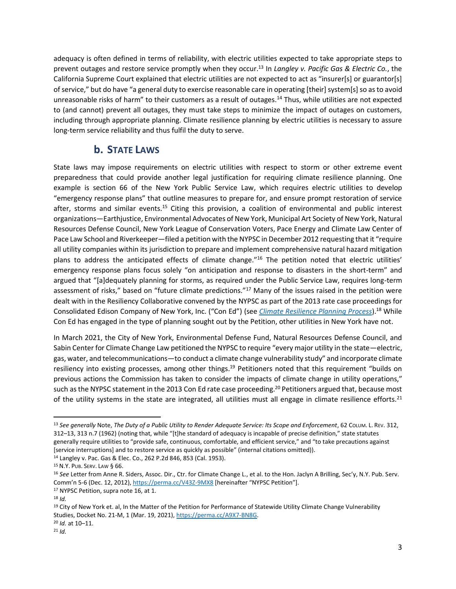adequacy is often defined in terms of reliability, with electric utilities expected to take appropriate steps to prevent outages and restore service promptly when they occur.<sup>13</sup> In *Langley v. Pacific Gas & Electric Co.*, the California Supreme Court explained that electric utilities are not expected to act as "insurer[s] or guarantor[s] of service," but do have "a general duty to exercise reasonable care in operating [their] system[s] so as to avoid unreasonable risks of harm" to their customers as a result of outages.<sup>14</sup> Thus, while utilities are not expected to (and cannot) prevent all outages, they must take steps to minimize the impact of outages on customers, including through appropriate planning. Climate resilience planning by electric utilities is necessary to assure long-term service reliability and thus fulfil the duty to serve.

#### <span id="page-2-0"></span>**b. STATE LAWS**

State laws may impose requirements on electric utilities with respect to storm or other extreme event preparedness that could provide another legal justification for requiring climate resilience planning. One example is section 66 of the New York Public Service Law, which requires electric utilities to develop "emergency response plans" that outline measures to prepare for, and ensure prompt restoration of service after, storms and similar events.<sup>15</sup> Citing this provision, a coalition of environmental and public interest organizations—Earthjustice, Environmental Advocates of New York, Municipal Art Society of New York, Natural Resources Defense Council, New York League of Conservation Voters, Pace Energy and Climate Law Center of Pace Law School and Riverkeeper—filed a petition with the NYPSC in December 2012 requesting that it "require all utility companies within its jurisdiction to prepare and implement comprehensive natural hazard mitigation plans to address the anticipated effects of climate change."<sup>16</sup> The petition noted that electric utilities' emergency response plans focus solely "on anticipation and response to disasters in the short-term" and argued that "[a]dequately planning for storms, as required under the Public Service Law, requires long-term assessment of risks," based on "future climate predictions."<sup>17</sup> Many of the issues raised in the petition were dealt with in the Resiliency Collaborative convened by the NYPSC as part of the 2013 rate case proceedings for Consolidated Edison Company of New York, Inc. ("Con Ed") (see *[Climate Resilience Planning Process](https://www.icrrl.org/files/2022/06/Climate-Resilience-Planning-Process-Supplement.pdf)*).<sup>18</sup> While Con Ed has engaged in the type of planning sought out by the Petition, other utilities in New York have not.

In March 2021, the City of New York, Environmental Defense Fund, Natural Resources Defense Council, and Sabin Center for Climate Change Law petitioned the NYPSC to require "every major utility in the state—electric, gas, water, and telecommunications—to conduct a climate change vulnerability study" and incorporate climate resiliency into existing processes, among other things.<sup>19</sup> Petitioners noted that this requirement "builds on previous actions the Commission has taken to consider the impacts of climate change in utility operations," such as the NYPSC statement in the 2013 Con Ed rate case proceeding.<sup>20</sup> Petitioners argued that, because most of the utility systems in the state are integrated, all utilities must all engage in climate resilience efforts.<sup>21</sup>

<sup>13</sup> See generally Note, The Duty of a Public Utility to Render Adequate Service: Its Scope and Enforcement, 62 Colum. L. REv. 312, 312–13, 313 n.7 (1962) (noting that, while "[t]he standard of adequacy is incapable of precise definition," state statutes generally require utilities to "provide safe, continuous, comfortable, and efficient service," and "to take precautions against [service interruptions] and to restore service as quickly as possible" (internal citations omitted)).

<sup>14</sup> Langley v. Pac. Gas & Elec. Co., 262 P.2d 846, 853 (Cal. 1953).

<sup>15</sup> N.Y. PUB. SERV. LAW § 66.

<sup>16</sup> *See* Letter from Anne R. Siders, Assoc. Dir., Ctr. for Climate Change L., et al. to the Hon. Jaclyn A Brilling, Sec'y, N.Y. Pub. Serv. Comm'n 5-6 (Dec. 12, 2012)[, https://perma.cc/V43Z-9MX8](https://perma.cc/V43Z-9MX8) [hereinafter "NYPSC Petition"].

<sup>17</sup> NYPSC Petition, supra not[e 16,](#page-2-0) at 1.

<sup>18</sup> *Id.*

<sup>&</sup>lt;sup>19</sup> City of New York et. al, In the Matter of the Petition for Performance of Statewide Utility Climate Change Vulnerability Studies, Docket No. 21-M, 1 (Mar. 19, 2021), [https://perma.cc/A9X7-BN8G.](https://perma.cc/A9X7-BN8G) <sup>20</sup> *Id.* at 10–11.

<sup>21</sup> *Id.*